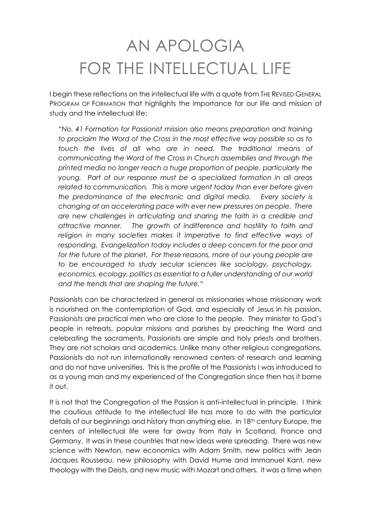## AN APOLOGIA FOR THE INTELLECTUAL LIFE

I begin these reflections on the intellectual life with a quote from THE REVISED GENERAL PROGRAM OF FORMATION that highlights the importance for our life and mission of study and the intellectual life:

*"No. 41 Formation for Passionist mission also means preparation and training to proclaim the Word of the Cross in the most effective way possible so as to touch the lives of all who are in need. The traditional means of communicating the Word of the Cross in Church assemblies and through the printed media no longer reach a huge proportion of people, particularly the young. Part of our response must be a specialized formation in all areas*  related to communication. This is more urgent today than ever before given *the predominance of the electronic and digital media. Every society is changing at an accelerating pace with ever new pressures on people. There are new challenges in articulating and sharing the faith in a credible and attractive manner. The growth of indifference and hostility to faith and*  religion in many societies makes it imperative to find effective ways of *responding. Evangelization today includes a deep concern for the poor and*  for the future of the planet. For these reasons, more of our young people are *to be encouraged to study secular sciences like sociology, psychology, economics, ecology, politics as essential to a fuller understanding of our world and the trends that are shaping the future."*

Passionists can be characterized in general as missionaries whose missionary work is nourished on the contemplation of God, and especially of Jesus in his passion. Passionists are practical men who are close to the people. They minister to God's people in retreats, popular missions and parishes by preaching the Word and celebrating the sacraments. Passionists are simple and holy priests and brothers. They are not scholars and academics. Unlike many other religious congregations, Passionists do not run internationally renowned centers of research and learning and do not have universities. This is the profile of the Passionists I was introduced to as a young man and my experienced of the Congregation since then has it borne it out.

It is not that the Congregation of the Passion is anti-intellectual in principle. I think the cautious attitude to the intellectual life has more to do with the particular details of our beginnings and history than anything else. In 18th century Europe, the centers of intellectual life were far away from Italy in Scotland, France and Germany. It was in these countries that new ideas were spreading. There was new science with Newton, new economics with Adam Smith, new politics with Jean Jacques Rousseau, new philosophy with David Hume and Immanuel Kant, new theology with the Deists, and new music with Mozart and others. It was a time when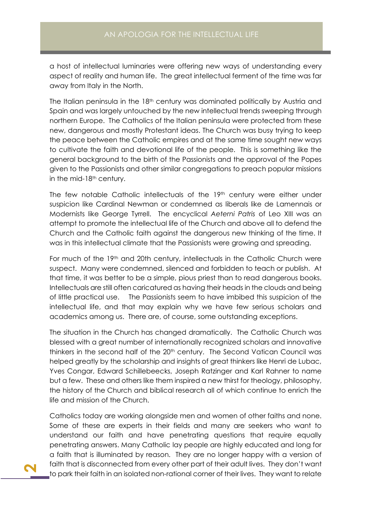a host of intellectual luminaries were offering new ways of understanding every aspect of reality and human life. The great intellectual ferment of the time was far away from Italy in the North.

The Italian peninsula in the 18<sup>th</sup> century was dominated politically by Austria and Spain and was largely untouched by the new intellectual trends sweeping through northern Europe. The Catholics of the Italian peninsula were protected from these new, dangerous and mostly Protestant ideas. The Church was busy trying to keep the peace between the Catholic empires and at the same time sought new ways to cultivate the faith and devotional life of the people. This is something like the general background to the birth of the Passionists and the approval of the Popes given to the Passionists and other similar congregations to preach popular missions in the mid- $18<sup>th</sup>$  century.

The few notable Catholic intellectuals of the 19<sup>th</sup> century were either under suspicion like Cardinal Newman or condemned as liberals like de Lamennais or Modernists like George Tyrrell. The encyclical *Aeterni Patris* of Leo XIII was an attempt to promote the intellectual life of the Church and above all to defend the Church and the Catholic faith against the dangerous new thinking of the time. It was in this intellectual climate that the Passionists were growing and spreading.

For much of the 19th and 20th century, intellectuals in the Catholic Church were suspect. Many were condemned, silenced and forbidden to teach or publish. At that time, it was better to be a simple, pious priest than to read dangerous books. Intellectuals are still often caricatured as having their heads in the clouds and being of little practical use. The Passionists seem to have imbibed this suspicion of the intellectual life, and that may explain why we have few serious scholars and academics among us. There are, of course, some outstanding exceptions.

The situation in the Church has changed dramatically. The Catholic Church was blessed with a great number of internationally recognized scholars and innovative thinkers in the second half of the 20<sup>th</sup> century. The Second Vatican Council was helped greatly by the scholarship and insights of great thinkers like Henri de Lubac, Yves Congar, Edward Schillebeecks, Joseph Ratzinger and Karl Rahner to name but a few. These and others like them inspired a new thirst for theology, philosophy, the history of the Church and biblical research all of which continue to enrich the life and mission of the Church.

Catholics today are working alongside men and women of other faiths and none. Some of these are experts in their fields and many are seekers who want to understand our faith and have penetrating questions that require equally penetrating answers. Many Catholic lay people are highly educated and long for a faith that is illuminated by reason. They are no longer happy with a version of faith that is disconnected from every other part of their adult lives. They don't want to park their faith in an isolated non-rational corner of their lives. They want to relate

**2**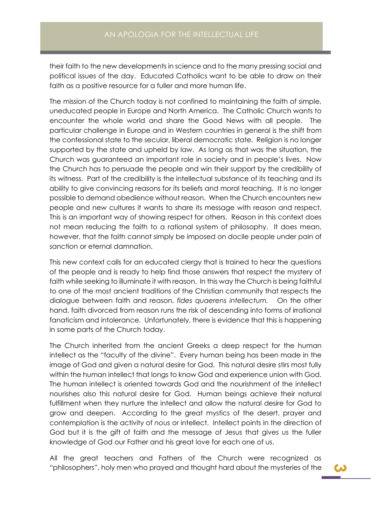their faith to the new developments in science and to the many pressing social and political issues of the day. Educated Catholics want to be able to draw on their faith as a positive resource for a fuller and more human life.

The mission of the Church today is not confined to maintaining the faith of simple, uneducated people in Europe and North America. The Catholic Church wants to encounter the whole world and share the Good News with all people. The particular challenge in Europe and in Western countries in general is the shift from the confessional state to the secular, liberal democratic state. Religion is no longer supported by the state and upheld by law. As long as that was the situation, the Church was guaranteed an important role in society and in people's lives. Now the Church has to persuade the people and win their support by the credibility of its witness. Part of the credibility is the intellectual substance of its teaching and its ability to give convincing reasons for its beliefs and moral teaching. It is no longer possible to demand obedience without reason. When the Church encounters new people and new cultures it wants to share its message with reason and respect. This is an important way of showing respect for others. Reason in this context does not mean reducing the faith to a rational system of philosophy. It does mean, however, that the faith cannot simply be imposed on docile people under pain of sanction or eternal damnation.

This new context calls for an educated clergy that is trained to hear the questions of the people and is ready to help find those answers that respect the mystery of faith while seeking to illuminate it with reason. In this way the Church is being faithful to one of the most ancient traditions of the Christian community that respects the dialogue between faith and reason, *fides quaerens intellectum.* On the other hand, faith divorced from reason runs the risk of descending into forms of irrational fanaticism and intolerance. Unfortunately, there is evidence that this is happening in some parts of the Church today.

The Church inherited from the ancient Greeks a deep respect for the human intellect as the "faculty of the divine". Every human being has been made in the image of God and given a natural desire for God. This natural desire stirs most fully within the human intellect that longs to know God and experience union with God. The human intellect is oriented towards God and the nourishment of the intellect nourishes also this natural desire for God. Human beings achieve their natural fulfillment when they nurture the intellect and allow the natural desire for God to grow and deepen. According to the great mystics of the desert, prayer and contemplation is the activity of *nous* or intellect. Intellect points in the direction of God but it is the gift of faith and the message of Jesus that gives us the fuller knowledge of God our Father and his great love for each one of us.

All the great teachers and Fathers of the Church were recognized as "philosophers", holy men who prayed and thought hard about the mysteries of the